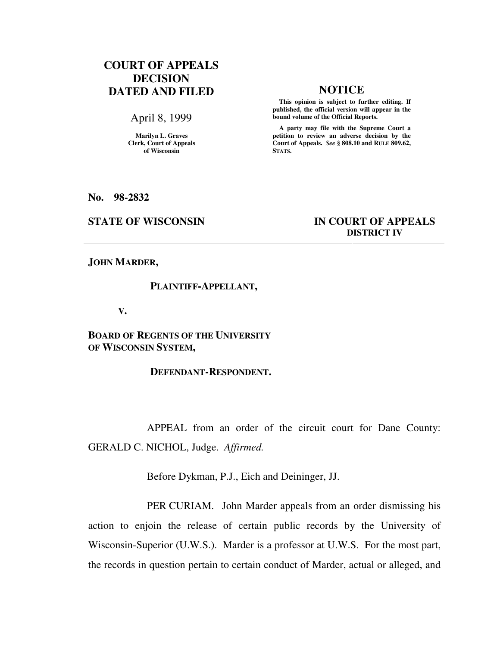# **COURT OF APPEALS DECISION DATED AND FILED NOTICE**

April 8, 1999

**Marilyn L. Graves Clerk, Court of Appeals of Wisconsin** 

 **This opinion is subject to further editing. If published, the official version will appear in the bound volume of the Official Reports.**

 **A party may file with the Supreme Court a petition to review an adverse decision by the Court of Appeals.** *See* **§ 808.10 and RULE 809.62, STATS.** 

**No. 98-2832** 

## **STATE OF WISCONSIN IN COURT OF APPEALS DISTRICT IV**

**JOHN MARDER,** 

### **PLAINTIFF-APPELLANT,**

 **V.** 

**BOARD OF REGENTS OF THE UNIVERSITY OF WISCONSIN SYSTEM,** 

 **DEFENDANT-RESPONDENT.** 

APPEAL from an order of the circuit court for Dane County: GERALD C. NICHOL, Judge. *Affirmed.*

Before Dykman, P.J., Eich and Deininger, JJ.

PER CURIAM. John Marder appeals from an order dismissing his action to enjoin the release of certain public records by the University of Wisconsin-Superior (U.W.S.). Marder is a professor at U.W.S. For the most part, the records in question pertain to certain conduct of Marder, actual or alleged, and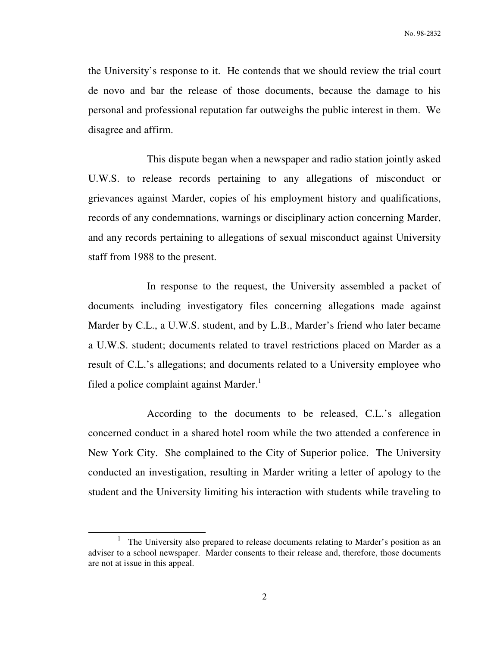the University's response to it. He contends that we should review the trial court de novo and bar the release of those documents, because the damage to his personal and professional reputation far outweighs the public interest in them. We disagree and affirm.

This dispute began when a newspaper and radio station jointly asked U.W.S. to release records pertaining to any allegations of misconduct or grievances against Marder, copies of his employment history and qualifications, records of any condemnations, warnings or disciplinary action concerning Marder, and any records pertaining to allegations of sexual misconduct against University staff from 1988 to the present.

In response to the request, the University assembled a packet of documents including investigatory files concerning allegations made against Marder by C.L., a U.W.S. student, and by L.B., Marder's friend who later became a U.W.S. student; documents related to travel restrictions placed on Marder as a result of C.L.'s allegations; and documents related to a University employee who filed a police complaint against Marder. $<sup>1</sup>$ </sup>

According to the documents to be released, C.L.'s allegation concerned conduct in a shared hotel room while the two attended a conference in New York City. She complained to the City of Superior police. The University conducted an investigation, resulting in Marder writing a letter of apology to the student and the University limiting his interaction with students while traveling to

j

<sup>1</sup> The University also prepared to release documents relating to Marder's position as an adviser to a school newspaper. Marder consents to their release and, therefore, those documents are not at issue in this appeal.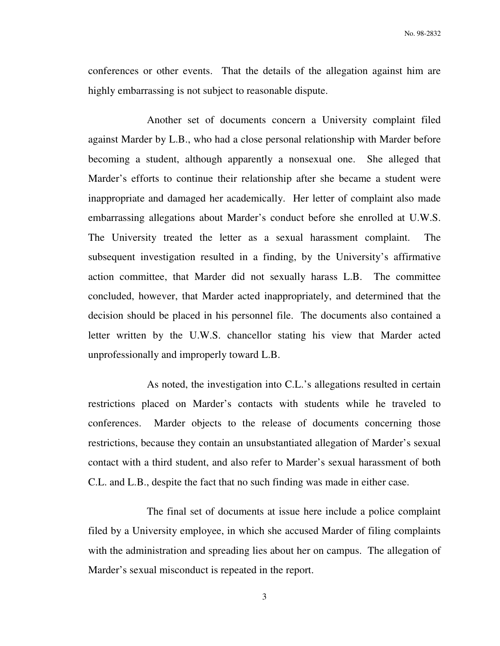No. 98-2832

conferences or other events. That the details of the allegation against him are highly embarrassing is not subject to reasonable dispute.

Another set of documents concern a University complaint filed against Marder by L.B., who had a close personal relationship with Marder before becoming a student, although apparently a nonsexual one. She alleged that Marder's efforts to continue their relationship after she became a student were inappropriate and damaged her academically. Her letter of complaint also made embarrassing allegations about Marder's conduct before she enrolled at U.W.S. The University treated the letter as a sexual harassment complaint. The subsequent investigation resulted in a finding, by the University's affirmative action committee, that Marder did not sexually harass L.B. The committee concluded, however, that Marder acted inappropriately, and determined that the decision should be placed in his personnel file. The documents also contained a letter written by the U.W.S. chancellor stating his view that Marder acted unprofessionally and improperly toward L.B.

As noted, the investigation into C.L.'s allegations resulted in certain restrictions placed on Marder's contacts with students while he traveled to conferences. Marder objects to the release of documents concerning those restrictions, because they contain an unsubstantiated allegation of Marder's sexual contact with a third student, and also refer to Marder's sexual harassment of both C.L. and L.B., despite the fact that no such finding was made in either case.

The final set of documents at issue here include a police complaint filed by a University employee, in which she accused Marder of filing complaints with the administration and spreading lies about her on campus. The allegation of Marder's sexual misconduct is repeated in the report.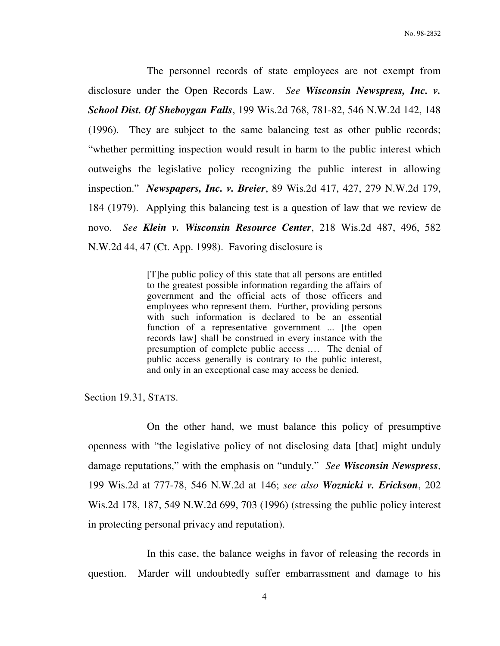The personnel records of state employees are not exempt from disclosure under the Open Records Law. *See Wisconsin Newspress, Inc. v. School Dist. Of Sheboygan Falls*, 199 Wis.2d 768, 781-82, 546 N.W.2d 142, 148 (1996). They are subject to the same balancing test as other public records; "whether permitting inspection would result in harm to the public interest which outweighs the legislative policy recognizing the public interest in allowing inspection." *Newspapers, Inc. v. Breier*, 89 Wis.2d 417, 427, 279 N.W.2d 179, 184 (1979). Applying this balancing test is a question of law that we review de novo. *See Klein v. Wisconsin Resource Center*, 218 Wis.2d 487, 496, 582 N.W.2d 44, 47 (Ct. App. 1998). Favoring disclosure is

> [T]he public policy of this state that all persons are entitled to the greatest possible information regarding the affairs of government and the official acts of those officers and employees who represent them. Further, providing persons with such information is declared to be an essential function of a representative government ... [the open records law] shall be construed in every instance with the presumption of complete public access .… The denial of public access generally is contrary to the public interest, and only in an exceptional case may access be denied.

Section 19.31, STATS.

On the other hand, we must balance this policy of presumptive openness with "the legislative policy of not disclosing data [that] might unduly damage reputations," with the emphasis on "unduly." *See Wisconsin Newspress*, 199 Wis.2d at 777-78, 546 N.W.2d at 146; *see also Woznicki v. Erickson*, 202 Wis.2d 178, 187, 549 N.W.2d 699, 703 (1996) (stressing the public policy interest in protecting personal privacy and reputation).

In this case, the balance weighs in favor of releasing the records in question. Marder will undoubtedly suffer embarrassment and damage to his